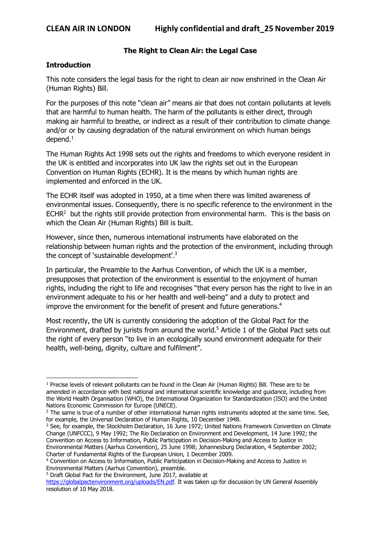#### **The Right to Clean Air: the Legal Case**

#### **Introduction**

 $\overline{\phantom{a}}$ 

This note considers the legal basis for the right to clean air now enshrined in the Clean Air (Human Rights) Bill.

For the purposes of this note "clean air" means air that does not contain pollutants at levels that are harmful to human health. The harm of the pollutants is either direct, through making air harmful to breathe, or indirect as a result of their contribution to climate change and/or or by causing degradation of the natural environment on which human beings  $d$ epend. $1$ 

The Human Rights Act 1998 sets out the rights and freedoms to which everyone resident in the UK is entitled and incorporates into UK law the rights set out in the European Convention on Human Rights (ECHR). It is the means by which human rights are implemented and enforced in the UK.

The ECHR itself was adopted in 1950, at a time when there was limited awareness of environmental issues. Consequently, there is no specific reference to the environment in the  $ECHR<sup>2</sup>$  but the rights still provide protection from environmental harm. This is the basis on which the Clean Air (Human Rights) Bill is built.

However, since then, numerous international instruments have elaborated on the relationship between human rights and the protection of the environment, including through the concept of 'sustainable development'.3

In particular, the Preamble to the Aarhus Convention, of which the UK is a member, presupposes that protection of the environment is essential to the enjoyment of human rights, including the right to life and recognises "that every person has the right to live in an environment adequate to his or her health and well-being" and a duty to protect and improve the environment for the benefit of present and future generations.<sup>4</sup>

Most recently, the UN is currently considering the adoption of the Global Pact for the Environment, drafted by jurists from around the world.<sup>5</sup> Article 1 of the Global Pact sets out the right of every person "to live in an ecologically sound environment adequate for their health, well-being, dignity, culture and fulfilment".

<sup>5</sup> Draft Global Pact for the Environment, June 2017, available at

<sup>1</sup> Precise levels of relevant pollutants can be found in the Clean Air (Human Rights) Bill. These are to be amended in accordance with best national and international scientific knowledge and guidance, including from the World Health Organisation (WHO), the International Organization for Standardization (ISO) and the United Nations Economic Commission for Europe (UNECE).

<sup>&</sup>lt;sup>2</sup> The same is true of a number of other international human rights instruments adopted at the same time. See, for example, the Universal Declaration of Human Rights, 10 December 1948.

<sup>&</sup>lt;sup>3</sup> See, for example, the Stockholm Declaration, 16 June 1972; United Nations Framework Convention on Climate Change (UNFCCC), 9 May 1992; The Rio Declaration on Environment and Development, 14 June 1992; the Convention on Access to Information, Public Participation in Decision-Making and Access to Justice in Environmental Matters (Aarhus Convention), 25 June 1998; Johannesburg Declaration, 4 September 2002; Charter of Fundamental Rights of the European Union, 1 December 2009.

<sup>4</sup> Convention on Access to Information, Public Participation in Decision-Making and Access to Justice in Environmental Matters (Aarhus Convention), preamble.

https://globalpactenvironment.org/uploads/EN.pdf. It was taken up for discussion by UN General Assembly resolution of 10 May 2018.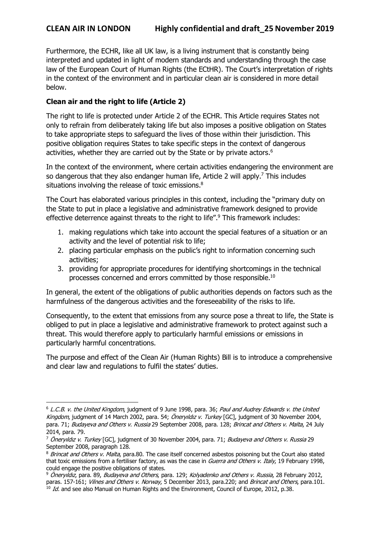l

Furthermore, the ECHR, like all UK law, is a living instrument that is constantly being interpreted and updated in light of modern standards and understanding through the case law of the European Court of Human Rights (the ECtHR). The Court's interpretation of rights in the context of the environment and in particular clean air is considered in more detail below.

# **Clean air and the right to life (Article 2)**

The right to life is protected under Article 2 of the ECHR. This Article requires States not only to refrain from deliberately taking life but also imposes a positive obligation on States to take appropriate steps to safeguard the lives of those within their jurisdiction. This positive obligation requires States to take specific steps in the context of dangerous activities, whether they are carried out by the State or by private actors.<sup>6</sup>

In the context of the environment, where certain activities endangering the environment are so dangerous that they also endanger human life, Article 2 will apply.<sup>7</sup> This includes situations involving the release of toxic emissions.<sup>8</sup>

The Court has elaborated various principles in this context, including the "primary duty on the State to put in place a legislative and administrative framework designed to provide effective deterrence against threats to the right to life".<sup>9</sup> This framework includes:

- 1. making regulations which take into account the special features of a situation or an activity and the level of potential risk to life;
- 2. placing particular emphasis on the public's right to information concerning such activities;
- 3. providing for appropriate procedures for identifying shortcomings in the technical processes concerned and errors committed by those responsible.10

In general, the extent of the obligations of public authorities depends on factors such as the harmfulness of the dangerous activities and the foreseeability of the risks to life.

Consequently, to the extent that emissions from any source pose a threat to life, the State is obliged to put in place a legislative and administrative framework to protect against such a threat. This would therefore apply to particularly harmful emissions or emissions in particularly harmful concentrations.

The purpose and effect of the Clean Air (Human Rights) Bill is to introduce a comprehensive and clear law and regulations to fulfil the states' duties.

<sup>6</sup> L.C.B. v. the United Kingdom, judgment of 9 June 1998, para. 36; Paul and Audrey Edwards v. the United Kingdom, judgment of 14 March 2002, para. 54; Öneryıldız v. Turkey [GC], judgment of 30 November 2004, para. 71; Budayeva and Others v. Russia 29 September 2008, para. 128; Brincat and Others v. Malta, 24 July 2014, para. 79.

<sup>&</sup>lt;sup>7</sup> Öneryıldız v. Turkey [GC], judgment of 30 November 2004, para. 71; Budayeva and Others v. Russia 29 September 2008, paragraph 128.

<sup>&</sup>lt;sup>8</sup> Brincat and Others v. Malta, para.80. The case itself concerned asbestos poisoning but the Court also stated that toxic emissions from a fertiliser factory, as was the case in Guerra and Others v. Italy, 19 February 1998, could engage the positive obligations of states.

<sup>9</sup> Öneryıldız, para. 89, Budayeva and Others, para. 129; Kolyadenko and Others v. Russia, 28 February 2012, paras. 157-161; Vilnes and Others v. Norway, 5 December 2013, para.220; and Brincat and Others, para.101.  $10$  Id. and see also Manual on Human Rights and the Environment, Council of Europe, 2012, p.38.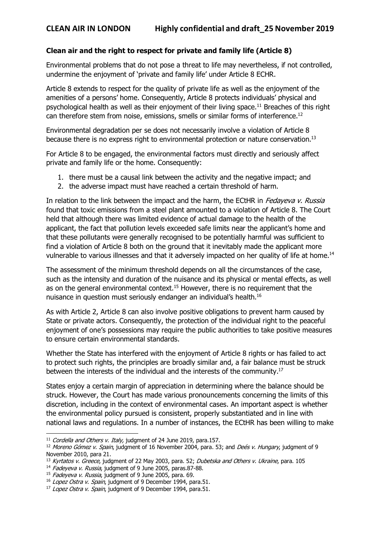## **Clean air and the right to respect for private and family life (Article 8)**

Environmental problems that do not pose a threat to life may nevertheless, if not controlled, undermine the enjoyment of 'private and family life' under Article 8 ECHR.

Article 8 extends to respect for the quality of private life as well as the enjoyment of the amenities of a persons' home. Consequently, Article 8 protects individuals' physical and psychological health as well as their enjoyment of their living space.11 Breaches of this right can therefore stem from noise, emissions, smells or similar forms of interference.12

Environmental degradation per se does not necessarily involve a violation of Article 8 because there is no express right to environmental protection or nature conservation.13

For Article 8 to be engaged, the environmental factors must directly and seriously affect private and family life or the home. Consequently:

- 1. there must be a causal link between the activity and the negative impact; and
- 2. the adverse impact must have reached a certain threshold of harm.

In relation to the link between the impact and the harm, the ECtHR in *Fedayeva v. Russia* found that toxic emissions from a steel plant amounted to a violation of Article 8. The Court held that although there was limited evidence of actual damage to the health of the applicant, the fact that pollution levels exceeded safe limits near the applicant's home and that these pollutants were generally recognised to be potentially harmful was sufficient to find a violation of Article 8 both on the ground that it inevitably made the applicant more vulnerable to various illnesses and that it adversely impacted on her quality of life at home.<sup>14</sup>

The assessment of the minimum threshold depends on all the circumstances of the case, such as the intensity and duration of the nuisance and its physical or mental effects, as well as on the general environmental context.<sup>15</sup> However, there is no requirement that the nuisance in question must seriously endanger an individual's health.16

As with Article 2, Article 8 can also involve positive obligations to prevent harm caused by State or private actors. Consequently, the protection of the individual right to the peaceful enjoyment of one's possessions may require the public authorities to take positive measures to ensure certain environmental standards.

Whether the State has interfered with the enjoyment of Article 8 rights or has failed to act to protect such rights, the principles are broadly similar and, a fair balance must be struck between the interests of the individual and the interests of the community.17

States enjoy a certain margin of appreciation in determining where the balance should be struck. However, the Court has made various pronouncements concerning the limits of this discretion, including in the context of environmental cases. An important aspect is whether the environmental policy pursued is consistent, properly substantiated and in line with national laws and regulations. In a number of instances, the ECtHR has been willing to make

l

 $11$  Cordella and Others v. Italy, judgment of 24 June 2019, para.157.

<sup>&</sup>lt;sup>12</sup> Moreno Gómez v. Spain, judgment of 16 November 2004, para. 53; and Deés v. Hungary, judgment of 9 November 2010, para 21.

<sup>&</sup>lt;sup>13</sup> Kyrtatos v. Greece, judgment of 22 May 2003, para. 52; Dubetska and Others v. Ukraine, para. 105

<sup>&</sup>lt;sup>14</sup> Fadeyeva v. Russia, judgment of 9 June 2005, paras.87-88.

<sup>&</sup>lt;sup>15</sup> Fadeyeva v. Russia, judgment of 9 June 2005, para. 69.

<sup>&</sup>lt;sup>16</sup> Lopez Ostra v. Spain, judgment of 9 December 1994, para.51.

<sup>&</sup>lt;sup>17</sup> Lopez Ostra v. Spain, judgment of 9 December 1994, para.51.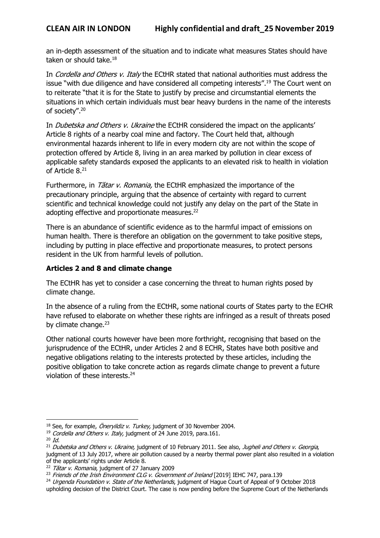an in-depth assessment of the situation and to indicate what measures States should have taken or should take.<sup>18</sup>

In Cordella and Others v. Italy the ECtHR stated that national authorities must address the issue "with due diligence and have considered all competing interests".<sup>19</sup> The Court went on to reiterate "that it is for the State to justify by precise and circumstantial elements the situations in which certain individuals must bear heavy burdens in the name of the interests of society".20

In *Dubetska and Others v. Ukraine* the ECtHR considered the impact on the applicants' Article 8 rights of a nearby coal mine and factory. The Court held that, although environmental hazards inherent to life in every modern city are not within the scope of protection offered by Article 8, living in an area marked by pollution in clear excess of applicable safety standards exposed the applicants to an elevated risk to health in violation of Article 8.<sup>21</sup>

Furthermore, in *Tătar v. Romania*, the ECtHR emphasized the importance of the precautionary principle, arguing that the absence of certainty with regard to current scientific and technical knowledge could not justify any delay on the part of the State in adopting effective and proportionate measures.<sup>22</sup>

There is an abundance of scientific evidence as to the harmful impact of emissions on human health. There is therefore an obligation on the government to take positive steps, including by putting in place effective and proportionate measures, to protect persons resident in the UK from harmful levels of pollution.

## **Articles 2 and 8 and climate change**

The ECtHR has yet to consider a case concerning the threat to human rights posed by climate change.

In the absence of a ruling from the ECtHR, some national courts of States party to the ECHR have refused to elaborate on whether these rights are infringed as a result of threats posed by climate change.<sup>23</sup>

Other national courts however have been more forthright, recognising that based on the jurisprudence of the ECtHR, under Articles 2 and 8 ECHR, States have both positive and negative obligations relating to the interests protected by these articles, including the positive obligation to take concrete action as regards climate change to prevent a future violation of these interests.24

l

<sup>&</sup>lt;sup>18</sup> See, for example, *Öneryildiz v. Turkey,* judgment of 30 November 2004.

<sup>&</sup>lt;sup>19</sup> Cordella and Others v. Italy, judgment of  $24$  June 2019, para.161.

 $20 \text{ Id.}$ 

<sup>&</sup>lt;sup>21</sup> Dubetska and Others v. Ukraine, judgment of 10 February 2011. See also, Jugheli and Others v. Georgia, judgment of 13 July 2017, where air pollution caused by a nearby thermal power plant also resulted in a violation of the applicants' rights under Article 8.

<sup>&</sup>lt;sup>22</sup> Tătar v. Romania, judgment of 27 January 2009

<sup>&</sup>lt;sup>23</sup> Friends of the Irish Environment CLG v. Government of Ireland [2019] IEHC 747, para.139

<sup>&</sup>lt;sup>24</sup> Urgenda Foundation v. State of the Netherlands, judgment of Hague Court of Appeal of 9 October 2018 upholding decision of the District Court. The case is now pending before the Supreme Court of the Netherlands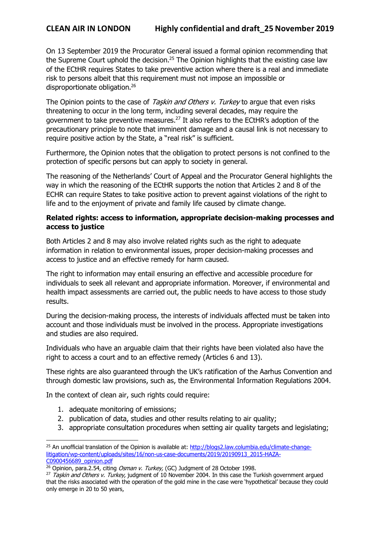On 13 September 2019 the Procurator General issued a formal opinion recommending that the Supreme Court uphold the decision.<sup>25</sup> The Opinion highlights that the existing case law of the ECtHR requires States to take preventive action where there is a real and immediate risk to persons albeit that this requirement must not impose an impossible or disproportionate obligation.26

The Opinion points to the case of Taskin and Others v. Turkey to argue that even risks threatening to occur in the long term, including several decades, may require the government to take preventive measures.27 It also refers to the ECtHR's adoption of the precautionary principle to note that imminent damage and a causal link is not necessary to require positive action by the State, a "real risk" is sufficient.

Furthermore, the Opinion notes that the obligation to protect persons is not confined to the protection of specific persons but can apply to society in general.

The reasoning of the Netherlands' Court of Appeal and the Procurator General highlights the way in which the reasoning of the ECtHR supports the notion that Articles 2 and 8 of the ECHR can require States to take positive action to prevent against violations of the right to life and to the enjoyment of private and family life caused by climate change.

#### **Related rights: access to information, appropriate decision-making processes and access to justice**

Both Articles 2 and 8 may also involve related rights such as the right to adequate information in relation to environmental issues, proper decision-making processes and access to justice and an effective remedy for harm caused.

The right to information may entail ensuring an effective and accessible procedure for individuals to seek all relevant and appropriate information. Moreover, if environmental and health impact assessments are carried out, the public needs to have access to those study results.

During the decision-making process, the interests of individuals affected must be taken into account and those individuals must be involved in the process. Appropriate investigations and studies are also required.

Individuals who have an arguable claim that their rights have been violated also have the right to access a court and to an effective remedy (Articles 6 and 13).

These rights are also guaranteed through the UK's ratification of the Aarhus Convention and through domestic law provisions, such as, the Environmental Information Regulations 2004.

In the context of clean air, such rights could require:

1. adequate monitoring of emissions;

l

- 2. publication of data, studies and other results relating to air quality;
- 3. appropriate consultation procedures when setting air quality targets and legislating;

<sup>&</sup>lt;sup>25</sup> An unofficial translation of the Opinion is available at: http://blogs2.law.columbia.edu/climate-changelitigation/wp-content/uploads/sites/16/non-us-case-documents/2019/20190913\_2015-HAZA-C0900456689\_opinion.pdf

 $26$  Opinion, para.2.54, citing Osman v. Turkey, (GC) Judgment of 28 October 1998.

 $27$  Taşkin and Others v. Turkey, judgment of 10 November 2004. In this case the Turkish government argued that the risks associated with the operation of the gold mine in the case were 'hypothetical' because they could only emerge in 20 to 50 years,